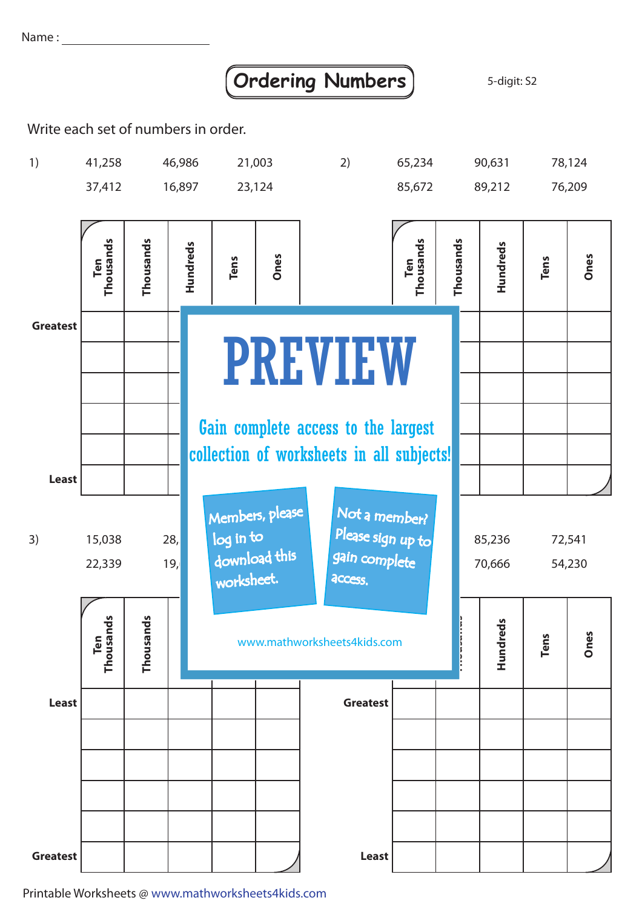Name :

## **Ordering Numbers** 3-digit: S2

Write each set of numbers in order.



Printable Worksheets @ www.mathworksheets4kids.com